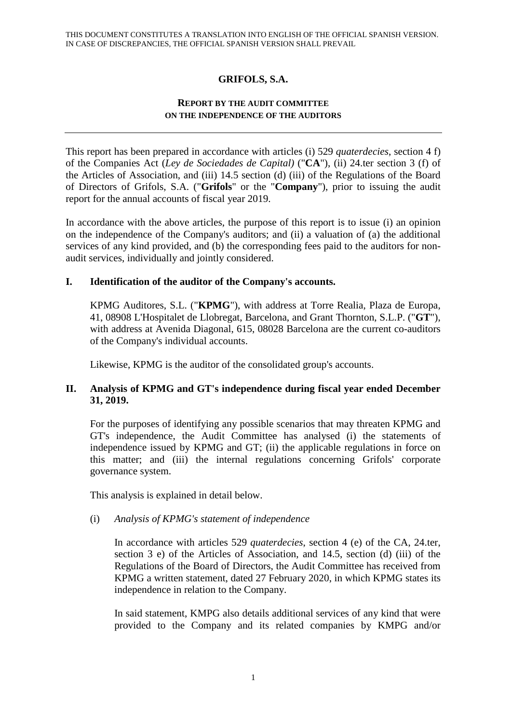# **GRIFOLS, S.A.**

### **REPORT BY THE AUDIT COMMITTEE ON THE INDEPENDENCE OF THE AUDITORS**

This report has been prepared in accordance with articles (i) 529 *quaterdecies*, section 4 f) of the Companies Act (*Ley de Sociedades de Capital)* ("**CA**"), (ii) 24.ter section 3 (f) of the Articles of Association, and (iii) 14.5 section (d) (iii) of the Regulations of the Board of Directors of Grifols, S.A. ("**Grifols**" or the "**Company**"), prior to issuing the audit report for the annual accounts of fiscal year 2019.

In accordance with the above articles, the purpose of this report is to issue (i) an opinion on the independence of the Company's auditors; and (ii) a valuation of (a) the additional services of any kind provided, and (b) the corresponding fees paid to the auditors for nonaudit services, individually and jointly considered.

### **I. Identification of the auditor of the Company's accounts.**

KPMG Auditores, S.L. ("**KPMG**"), with address at Torre Realia, Plaza de Europa, 41, 08908 L'Hospitalet de Llobregat, Barcelona, and Grant Thornton, S.L.P. ("**GT**"), with address at Avenida Diagonal, 615, 08028 Barcelona are the current co-auditors of the Company's individual accounts.

Likewise, KPMG is the auditor of the consolidated group's accounts.

### **II. Analysis of KPMG and GT's independence during fiscal year ended December 31, 2019.**

For the purposes of identifying any possible scenarios that may threaten KPMG and GT's independence, the Audit Committee has analysed (i) the statements of independence issued by KPMG and GT; (ii) the applicable regulations in force on this matter; and (iii) the internal regulations concerning Grifols' corporate governance system.

This analysis is explained in detail below.

## (i) *Analysis of KPMG's statement of independence*

In accordance with articles 529 *quaterdecies*, section 4 (e) of the CA, 24.ter, section 3 e) of the Articles of Association, and 14.5, section (d) (iii) of the Regulations of the Board of Directors, the Audit Committee has received from KPMG a written statement, dated 27 February 2020, in which KPMG states its independence in relation to the Company.

In said statement, KMPG also details additional services of any kind that were provided to the Company and its related companies by KMPG and/or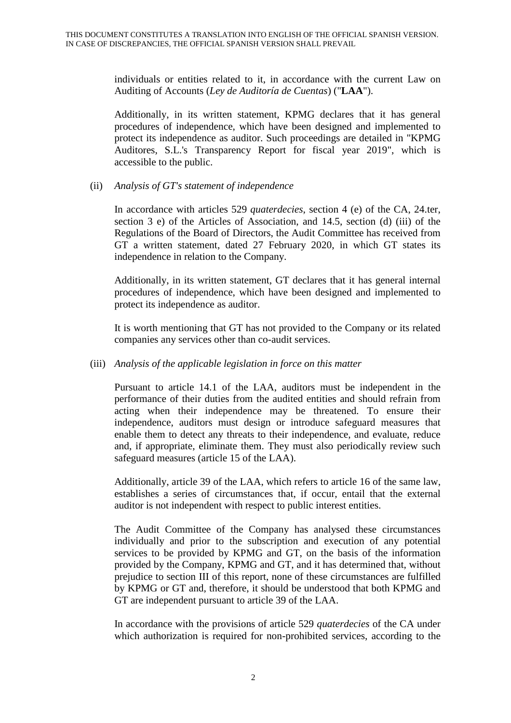individuals or entities related to it, in accordance with the current Law on Auditing of Accounts (*Ley de Auditoría de Cuentas*) ("**LAA**").

Additionally, in its written statement, KPMG declares that it has general procedures of independence, which have been designed and implemented to protect its independence as auditor. Such proceedings are detailed in "KPMG Auditores, S.L.'s Transparency Report for fiscal year 2019", which is accessible to the public.

#### (ii) *Analysis of GT's statement of independence*

In accordance with articles 529 *quaterdecies*, section 4 (e) of the CA, 24.ter, section 3 e) of the Articles of Association, and 14.5, section (d) (iii) of the Regulations of the Board of Directors, the Audit Committee has received from GT a written statement, dated 27 February 2020, in which GT states its independence in relation to the Company.

Additionally, in its written statement, GT declares that it has general internal procedures of independence, which have been designed and implemented to protect its independence as auditor.

It is worth mentioning that GT has not provided to the Company or its related companies any services other than co-audit services.

#### (iii) *Analysis of the applicable legislation in force on this matter*

Pursuant to article 14.1 of the LAA, auditors must be independent in the performance of their duties from the audited entities and should refrain from acting when their independence may be threatened. To ensure their independence, auditors must design or introduce safeguard measures that enable them to detect any threats to their independence, and evaluate, reduce and, if appropriate, eliminate them. They must also periodically review such safeguard measures (article 15 of the LAA).

Additionally, article 39 of the LAA, which refers to article 16 of the same law, establishes a series of circumstances that, if occur, entail that the external auditor is not independent with respect to public interest entities.

The Audit Committee of the Company has analysed these circumstances individually and prior to the subscription and execution of any potential services to be provided by KPMG and GT, on the basis of the information provided by the Company, KPMG and GT, and it has determined that, without prejudice to section III of this report, none of these circumstances are fulfilled by KPMG or GT and, therefore, it should be understood that both KPMG and GT are independent pursuant to article 39 of the LAA.

In accordance with the provisions of article 529 *quaterdecies* of the CA under which authorization is required for non-prohibited services, according to the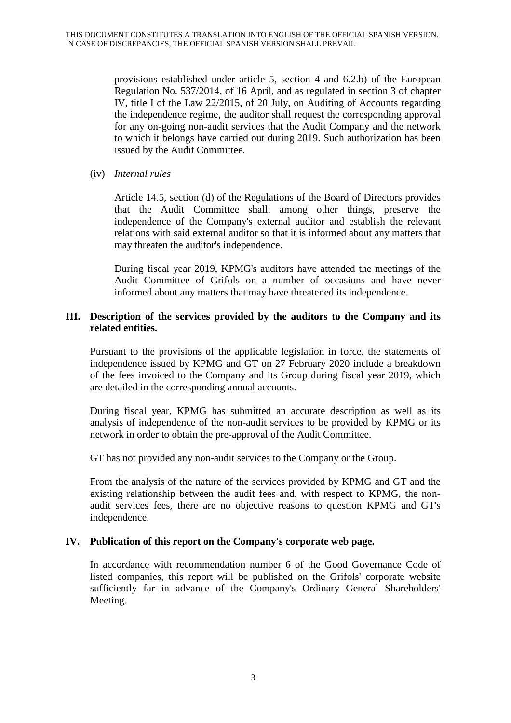provisions established under article 5, section 4 and 6.2.b) of the European Regulation No. 537/2014, of 16 April, and as regulated in section 3 of chapter IV, title I of the Law 22/2015, of 20 July, on Auditing of Accounts regarding the independence regime, the auditor shall request the corresponding approval for any on-going non-audit services that the Audit Company and the network to which it belongs have carried out during 2019. Such authorization has been issued by the Audit Committee.

(iv) *Internal rules*

Article 14.5, section (d) of the Regulations of the Board of Directors provides that the Audit Committee shall, among other things, preserve the independence of the Company's external auditor and establish the relevant relations with said external auditor so that it is informed about any matters that may threaten the auditor's independence.

During fiscal year 2019, KPMG's auditors have attended the meetings of the Audit Committee of Grifols on a number of occasions and have never informed about any matters that may have threatened its independence.

### **III. Description of the services provided by the auditors to the Company and its related entities.**

Pursuant to the provisions of the applicable legislation in force, the statements of independence issued by KPMG and GT on 27 February 2020 include a breakdown of the fees invoiced to the Company and its Group during fiscal year 2019, which are detailed in the corresponding annual accounts.

During fiscal year, KPMG has submitted an accurate description as well as its analysis of independence of the non-audit services to be provided by KPMG or its network in order to obtain the pre-approval of the Audit Committee.

GT has not provided any non-audit services to the Company or the Group.

From the analysis of the nature of the services provided by KPMG and GT and the existing relationship between the audit fees and, with respect to KPMG, the nonaudit services fees, there are no objective reasons to question KPMG and GT's independence.

#### **IV. Publication of this report on the Company's corporate web page.**

In accordance with recommendation number 6 of the Good Governance Code of listed companies, this report will be published on the Grifols' corporate website sufficiently far in advance of the Company's Ordinary General Shareholders' Meeting.